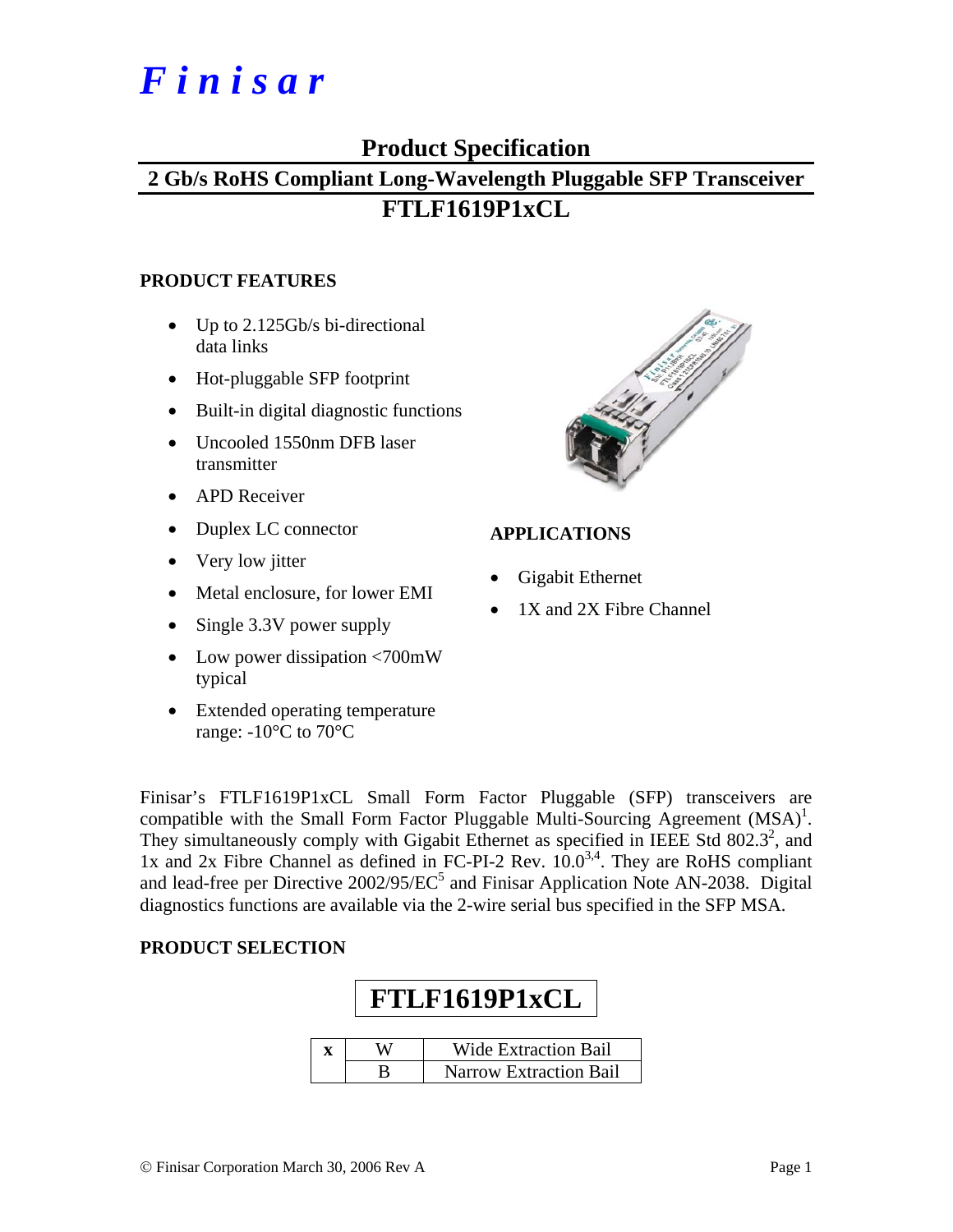# *F i n i s a r*

### **Product Specification**

## **2 Gb/s RoHS Compliant Long-Wavelength Pluggable SFP Transceiver FTLF1619P1xCL**

#### **PRODUCT FEATURES**

- Up to 2.125Gb/s bi-directional data links
- Hot-pluggable SFP footprint
- Built-in digital diagnostic functions
- Uncooled 1550nm DFB laser transmitter
- APD Receiver
- Duplex LC connector
- Very low jitter
- Metal enclosure, for lower EMI
- Single 3.3V power supply
- Low power dissipation <700mW typical
- Extended operating temperature range:  $-10^{\circ}$ C to 70 $^{\circ}$ C



#### **APPLICATIONS**

- Gigabit Ethernet
- 1X and 2X Fibre Channel

Finisar's FTLF1619P1xCL Small Form Factor Pluggable (SFP) transceivers are compatible with the Small Form Factor Pluggable Multi-Sourcing Agreement  $(MSA)^1$ . They simultaneously comply with Gigabit Ethernet as specified in IEEE Std  $802.3^2$ , and 1x and 2x Fibre Channel as defined in FC-PI-2 Rev.  $10.0^{3,4}$ . They are RoHS compliant and lead-free per Directive  $2002/95/EC^5$  and Finisar Application Note AN-2038. Digital diagnostics functions are available via the 2-wire serial bus specified in the SFP MSA.

#### **PRODUCT SELECTION**

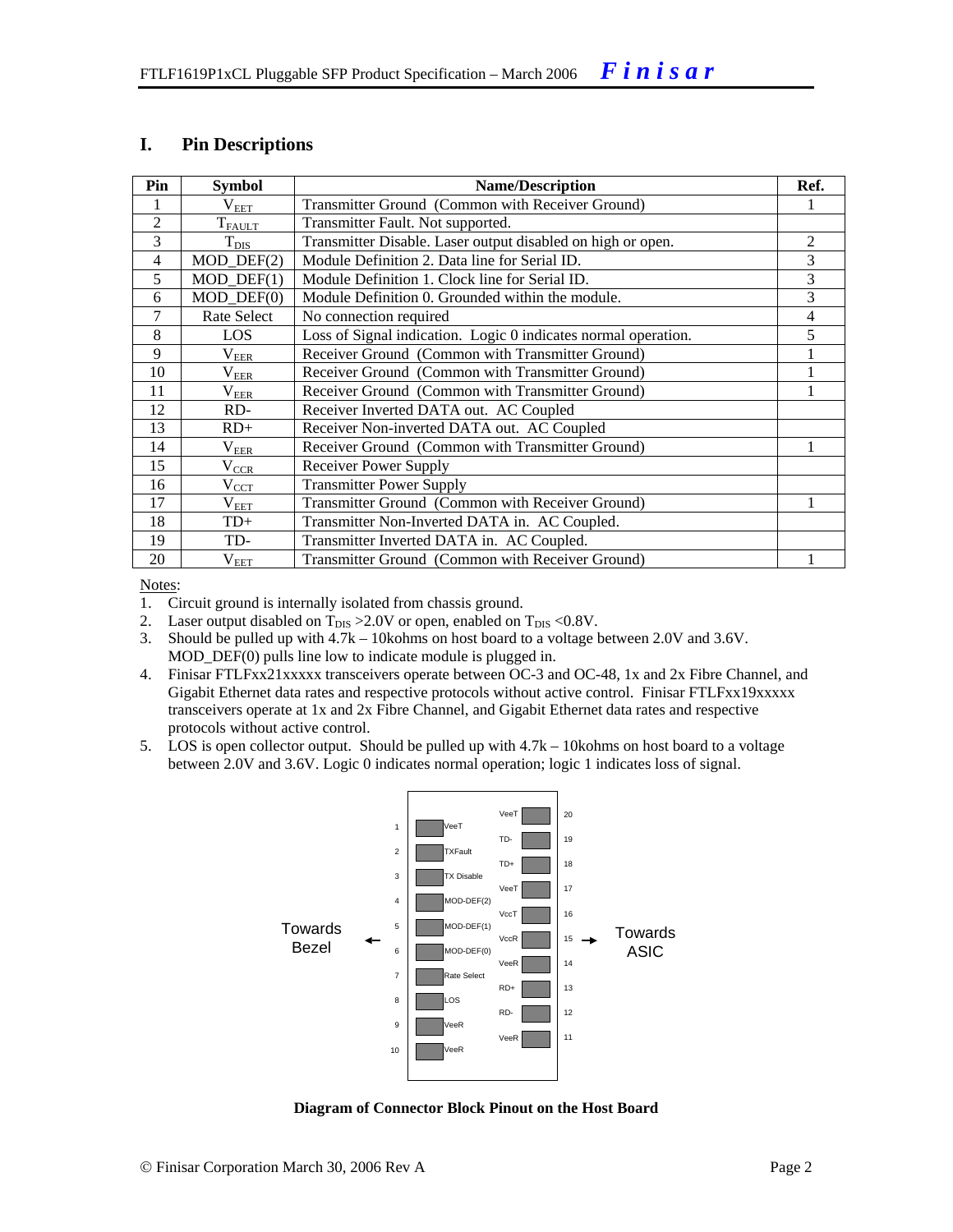#### **I. Pin Descriptions**

| Pin            | <b>Symbol</b>               | <b>Name/Description</b>                                        | Ref. |
|----------------|-----------------------------|----------------------------------------------------------------|------|
|                | $\rm V_{EET}$               | Transmitter Ground (Common with Receiver Ground)               |      |
| $\overline{2}$ | $T_{FAULT}$                 | Transmitter Fault. Not supported.                              |      |
| 3              | $T_{DIS}$                   | Transmitter Disable. Laser output disabled on high or open.    | 2    |
| 4              | $MOD_$ <del>DEF</del> $(2)$ | Module Definition 2. Data line for Serial ID.                  | 3    |
| 5              | $MOD_DEF(1)$                | Module Definition 1. Clock line for Serial ID.                 | 3    |
| 6              | $MOD$ $DEF(0)$              | Module Definition 0. Grounded within the module.               | 3    |
| 7              | Rate Select                 | No connection required                                         | 4    |
| 8              | LOS                         | Loss of Signal indication. Logic 0 indicates normal operation. | 5    |
| 9              | $\rm V_{EER}$               | Receiver Ground (Common with Transmitter Ground)               |      |
| 10             | $\rm V_{EER}$               | Receiver Ground (Common with Transmitter Ground)               |      |
| 11             | $\rm V_{EER}$               | Receiver Ground (Common with Transmitter Ground)               |      |
| 12             | RD-                         | Receiver Inverted DATA out. AC Coupled                         |      |
| 13             | $RD+$                       | Receiver Non-inverted DATA out. AC Coupled                     |      |
| 14             | $\rm V_{EER}$               | Receiver Ground (Common with Transmitter Ground)               |      |
| 15             | $V_{CCR}$                   | Receiver Power Supply                                          |      |
| 16             | $V_{\text{CCT}}$            | <b>Transmitter Power Supply</b>                                |      |
| 17             | $\rm V_{\rm EET}$           | Transmitter Ground (Common with Receiver Ground)               |      |
| 18             | $TD+$                       | Transmitter Non-Inverted DATA in. AC Coupled.                  |      |
| 19             | TD-                         | Transmitter Inverted DATA in. AC Coupled.                      |      |
| 20             | $\rm V_{EET}$               | Transmitter Ground (Common with Receiver Ground)               |      |

Notes:

1. Circuit ground is internally isolated from chassis ground.

2. Laser output disabled on  $T_{DIS} > 2.0V$  or open, enabled on  $T_{DIS} < 0.8V$ .

3. Should be pulled up with 4.7k – 10kohms on host board to a voltage between 2.0V and 3.6V. MOD\_DEF(0) pulls line low to indicate module is plugged in.

4. Finisar FTLFxx21xxxxx transceivers operate between OC-3 and OC-48, 1x and 2x Fibre Channel, and Gigabit Ethernet data rates and respective protocols without active control. Finisar FTLFxx19xxxxx transceivers operate at 1x and 2x Fibre Channel, and Gigabit Ethernet data rates and respective protocols without active control.

5. LOS is open collector output. Should be pulled up with 4.7k – 10kohms on host board to a voltage between 2.0V and 3.6V. Logic 0 indicates normal operation; logic 1 indicates loss of signal.



**Diagram of Connector Block Pinout on the Host Board**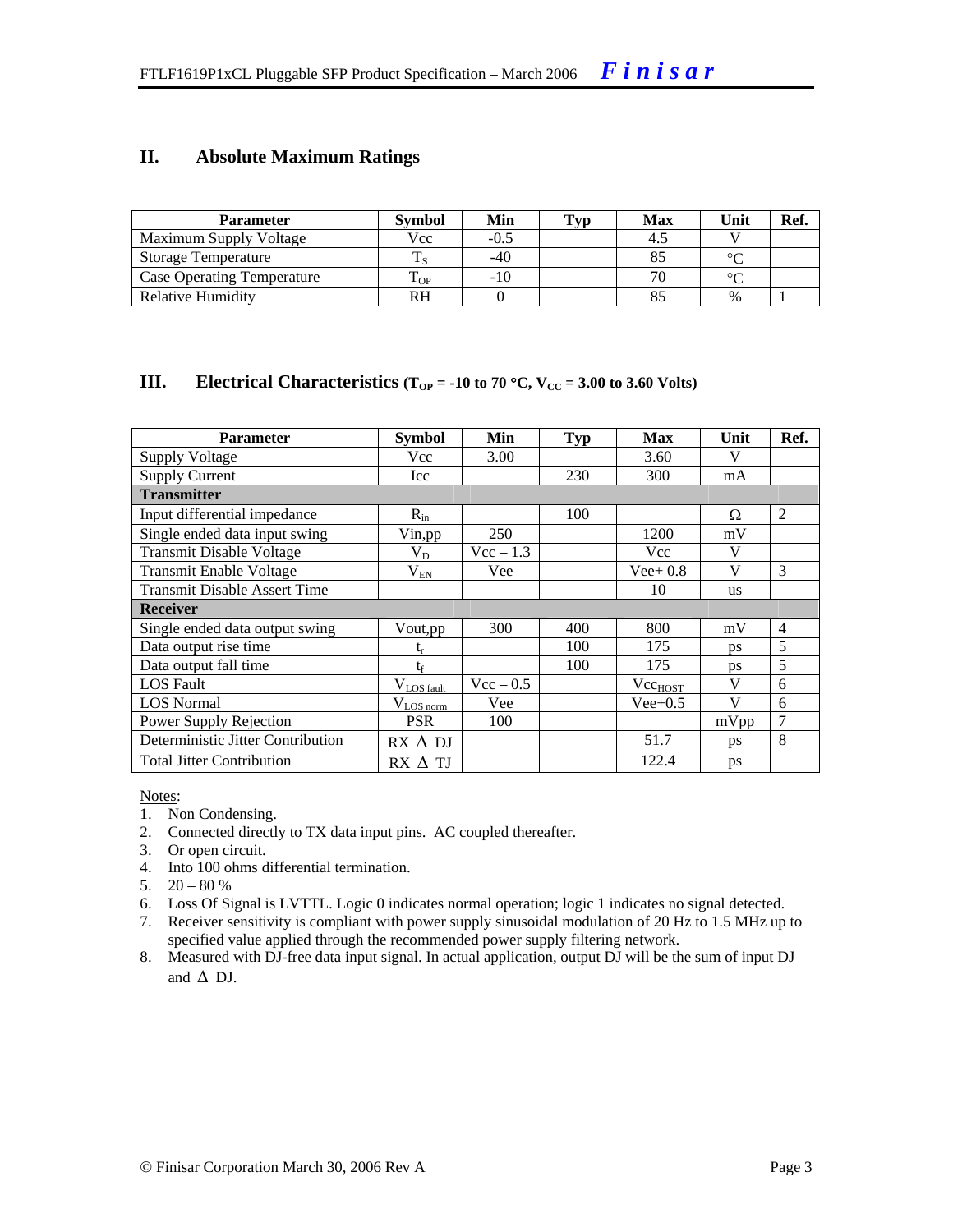#### **II. Absolute Maximum Ratings**

| <b>Parameter</b>                  | <b>Symbol</b> | Min   | Typ | <b>Max</b> | Unit   | Ref. |
|-----------------------------------|---------------|-------|-----|------------|--------|------|
| Maximum Supply Voltage            | Vcc           | -0.5  |     |            |        |      |
| <b>Storage Temperature</b>        |               | -40   |     |            | $\sim$ |      |
| <b>Case Operating Temperature</b> | L OP          | $-10$ |     |            | $\sim$ |      |
| Relative Humidity                 | RH            |       |     |            | $\%$   |      |

#### **III.** Electrical Characteristics ( $T_{OP} = -10$  to 70 °C,  $V_{CC} = 3.00$  to 3.60 Volts)

| <b>Parameter</b>                    | <b>Symbol</b>           | Min         | <b>Typ</b> | <b>Max</b>   | Unit      | Ref.           |  |  |
|-------------------------------------|-------------------------|-------------|------------|--------------|-----------|----------------|--|--|
| <b>Supply Voltage</b>               | Vcc                     | 3.00        |            | 3.60         | V         |                |  |  |
| <b>Supply Current</b>               | Icc                     |             | 230        | 300          | mA        |                |  |  |
| <b>Transmitter</b>                  |                         |             |            |              |           |                |  |  |
| Input differential impedance        | $R_{in}$                |             | 100        |              | Ω         | 2              |  |  |
| Single ended data input swing       | Vin, pp                 | 250         |            | 1200         | mV        |                |  |  |
| <b>Transmit Disable Voltage</b>     | $V_D$                   | $Vec - 1.3$ |            | Vcc          | V         |                |  |  |
| <b>Transmit Enable Voltage</b>      | $V_{EN}$                | Vee         |            | $Vee+0.8$    | V         | 3              |  |  |
| <b>Transmit Disable Assert Time</b> |                         |             |            | 10           | <b>us</b> |                |  |  |
| <b>Receiver</b>                     |                         |             |            |              |           |                |  |  |
| Single ended data output swing      | Vout, pp                | 300         | 400        | 800          | mV        | $\overline{4}$ |  |  |
| Data output rise time               | $t_{r}$                 |             | 100        | 175          | ps        | 5              |  |  |
| Data output fall time               | $t_{\rm f}$             |             | 100        | 175          | <b>ps</b> | 5              |  |  |
| <b>LOS</b> Fault                    | $V_{LOS \text{ fault}}$ | $Vec - 0.5$ |            | $Vec_{HOST}$ | V         | 6              |  |  |
| <b>LOS</b> Normal                   | $V_{LOS\,norm}$         | Vee         |            | $Vee+0.5$    | V         | 6              |  |  |
| Power Supply Rejection              | <b>PSR</b>              | 100         |            |              | mVpp      | 7              |  |  |
| Deterministic Jitter Contribution   | $RX \Delta DI$          |             |            | 51.7         | ps        | 8              |  |  |
| <b>Total Jitter Contribution</b>    | $RX \wedge TI$          |             |            | 122.4        | ps        |                |  |  |

Notes:

- 1. Non Condensing.
- 2. Connected directly to TX data input pins. AC coupled thereafter.
- 3. Or open circuit.
- 4. Into 100 ohms differential termination.
- 5.  $20 80 %$
- 6. Loss Of Signal is LVTTL. Logic 0 indicates normal operation; logic 1 indicates no signal detected.
- 7. Receiver sensitivity is compliant with power supply sinusoidal modulation of 20 Hz to 1.5 MHz up to specified value applied through the recommended power supply filtering network.
- 8. Measured with DJ-free data input signal. In actual application, output DJ will be the sum of input DJ and  $\Delta$  DJ.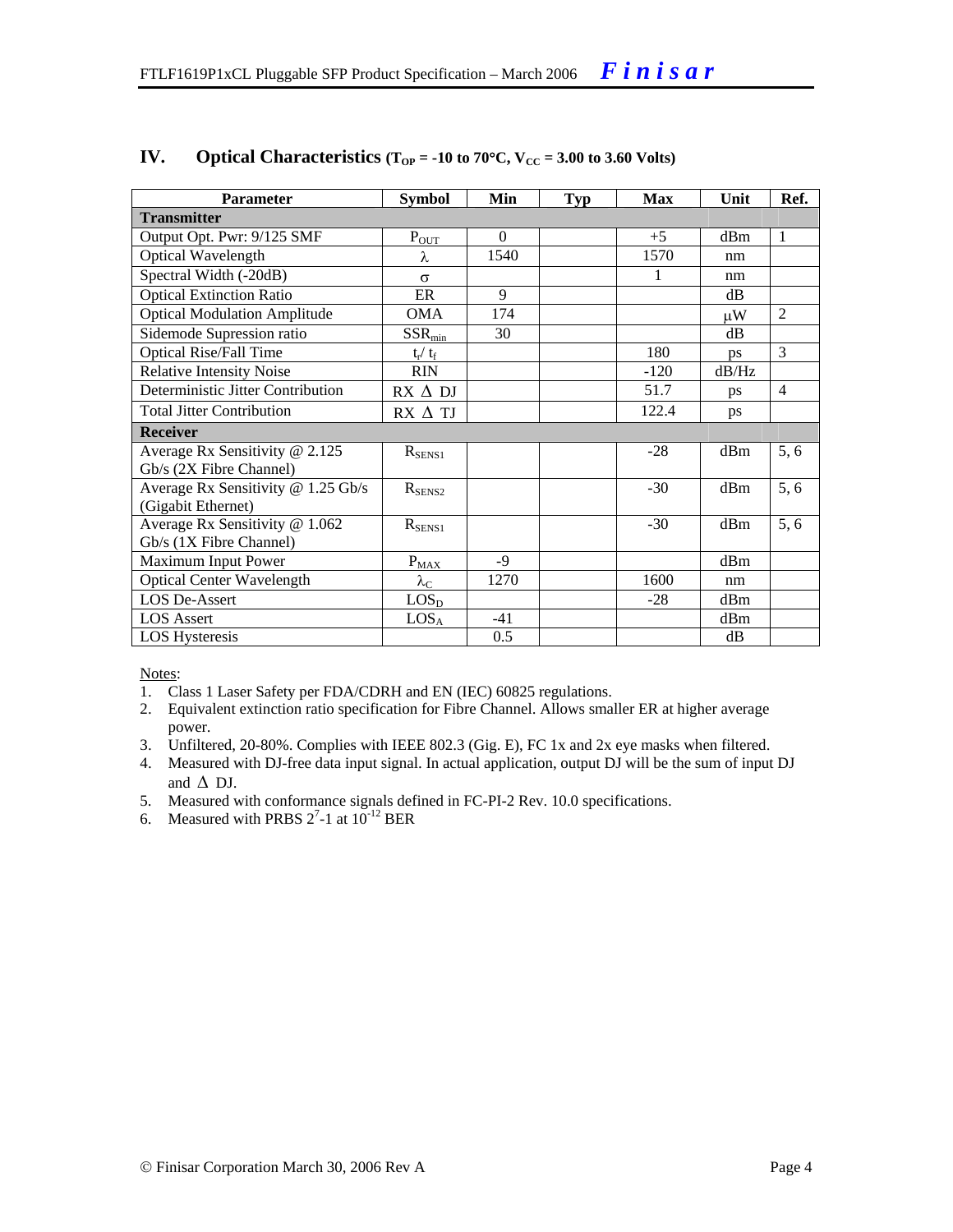| <b>Parameter</b>                    | <b>Symbol</b>           | Min      | <b>Typ</b> | <b>Max</b> | Unit    | Ref.           |
|-------------------------------------|-------------------------|----------|------------|------------|---------|----------------|
| <b>Transmitter</b>                  |                         |          |            |            |         |                |
| Output Opt. Pwr: 9/125 SMF          | $P_{OT}$                | $\Omega$ |            | $+5$       | dBm     | -1             |
| Optical Wavelength                  | λ                       | 1540     |            | 1570       | nm      |                |
| Spectral Width (-20dB)              | $\sigma$                |          |            | 1          | nm      |                |
| <b>Optical Extinction Ratio</b>     | ER                      | 9        |            |            | dB      |                |
| <b>Optical Modulation Amplitude</b> | OMA                     | 174      |            |            | $\mu$ W | 2              |
| Sidemode Supression ratio           | $SSR_{\text{min}}$      | 30       |            |            | dB      |                |
| <b>Optical Rise/Fall Time</b>       | $t_{\rm r} / t_{\rm f}$ |          |            | 180        | ps      | 3              |
| <b>Relative Intensity Noise</b>     | <b>RIN</b>              |          |            | $-120$     | dB/Hz   |                |
| Deterministic Jitter Contribution   | $RX \Delta DI$          |          |            | 51.7       | ps      | $\overline{4}$ |
| <b>Total Jitter Contribution</b>    | RX ∆ TJ                 |          |            | 122.4      | ps      |                |
| <b>Receiver</b>                     |                         |          |            |            |         |                |
| Average Rx Sensitivity @ 2.125      | $R_{SENS1}$             |          |            | $-28$      | dBm     | 5, 6           |
| Gb/s (2X Fibre Channel)             |                         |          |            |            |         |                |
| Average Rx Sensitivity @ 1.25 Gb/s  | $R_{\rm SENS2}$         |          |            | $-30$      | dBm     | 5, 6           |
| (Gigabit Ethernet)                  |                         |          |            |            |         |                |
| Average Rx Sensitivity @ 1.062      | $R_{SENS1}$             |          |            | $-30$      | dBm     | 5, 6           |
| Gb/s (1X Fibre Channel)             |                         |          |            |            |         |                |
| Maximum Input Power                 | $P_{MAX}$               | $-9$     |            |            | dBm     |                |
| <b>Optical Center Wavelength</b>    | $\lambda_{\rm C}$       | 1270     |            | 1600       | nm      |                |
| LOS De-Assert                       | LOS <sub>D</sub>        |          |            | $-28$      | dBm     |                |
| <b>LOS</b> Assert                   | LOS <sub>A</sub>        | $-41$    |            |            | dBm     |                |
| <b>LOS</b> Hysteresis               |                         | 0.5      |            |            | dB      |                |

#### **IV.** Optical Characteristics ( $T_{OP} = -10$  to 70°C,  $V_{CC} = 3.00$  to 3.60 Volts)

Notes:

- 1. Class 1 Laser Safety per FDA/CDRH and EN (IEC) 60825 regulations.
- 2. Equivalent extinction ratio specification for Fibre Channel. Allows smaller ER at higher average power.
- 3. Unfiltered, 20-80%. Complies with IEEE 802.3 (Gig. E), FC 1x and 2x eye masks when filtered.
- 4. Measured with DJ-free data input signal. In actual application, output DJ will be the sum of input DJ and  $\Delta$  DJ.
- 5. Measured with conformance signals defined in FC-PI-2 Rev. 10.0 specifications.
- 6. Measured with PRBS  $2^7$ -1 at  $10^{-12}$  BER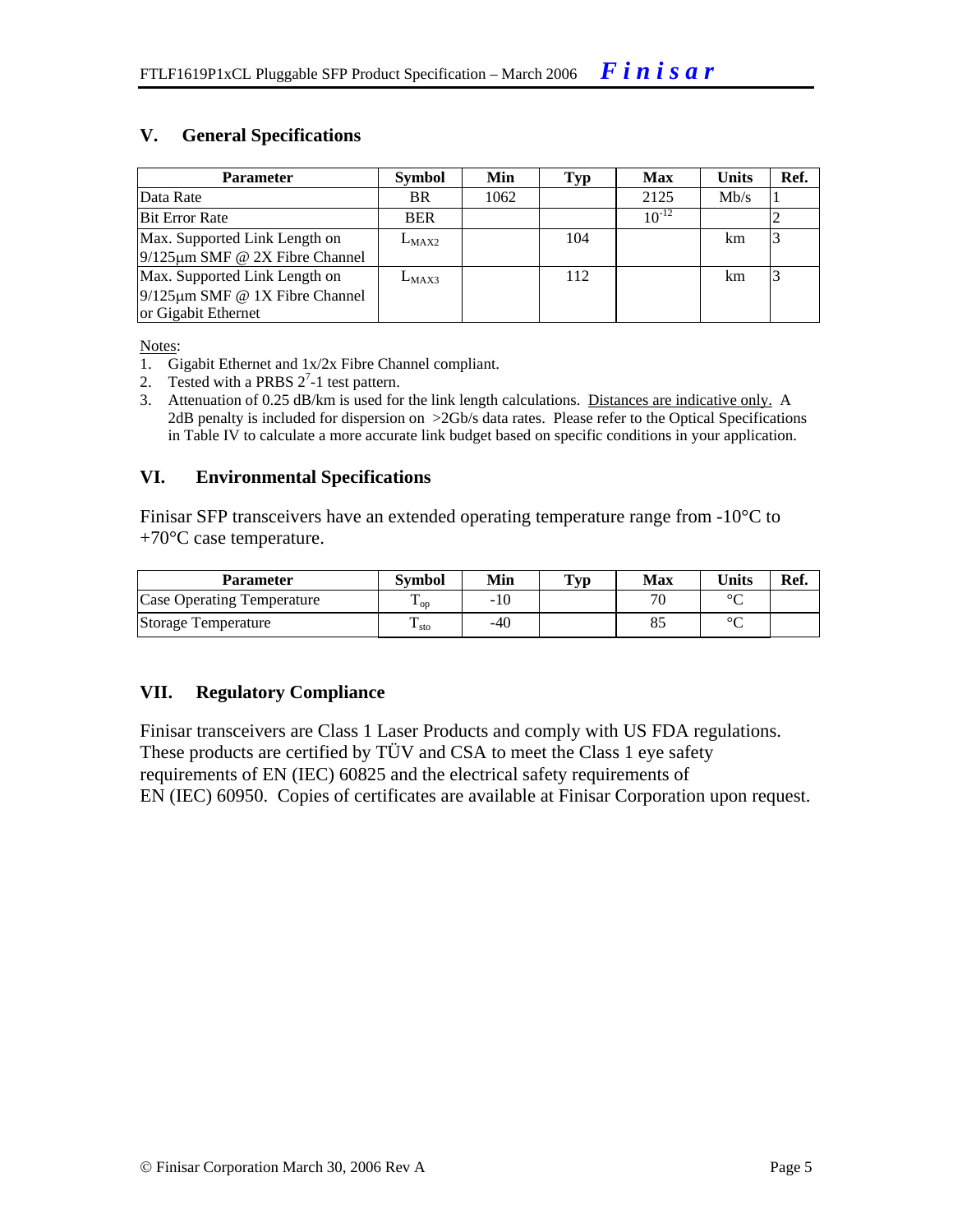#### **V. General Specifications**

| <b>Parameter</b>                                                                             | <b>Symbol</b> | Min  | Typ | <b>Max</b> | <b>Units</b> | Ref. |
|----------------------------------------------------------------------------------------------|---------------|------|-----|------------|--------------|------|
| Data Rate                                                                                    | BR.           | 1062 |     | 2125       | Mb/s         |      |
| <b>Bit Error Rate</b>                                                                        | <b>BER</b>    |      |     | $10^{-12}$ |              |      |
| Max. Supported Link Length on<br>$9/125 \mu m$ SMF @ 2X Fibre Channel                        | $L_{MAX2}$    |      | 104 |            | km           |      |
| Max. Supported Link Length on<br>$9/125 \mu m$ SMF @ 1X Fibre Channel<br>or Gigabit Ethernet | $L_{MAX3}$    |      | 112 |            | km           |      |

Notes:

- 1. Gigabit Ethernet and 1x/2x Fibre Channel compliant.
- 2. Tested with a PRBS  $2^7$ -1 test pattern.
- 3. Attenuation of 0.25 dB/km is used for the link length calculations. Distances are indicative only. A 2dB penalty is included for dispersion on >2Gb/s data rates. Please refer to the Optical Specifications in Table IV to calculate a more accurate link budget based on specific conditions in your application.

#### **VI. Environmental Specifications**

Finisar SFP transceivers have an extended operating temperature range from -10°C to  $+70^{\circ}$ C case temperature.

| <b>Parameter</b>           | Svmbol            | Min   | $\mathbf{Typ}$ | Max                      | Units  | Ref. |
|----------------------------|-------------------|-------|----------------|--------------------------|--------|------|
| Case Operating Temperature | $\mathbf{L}_{OD}$ | -10   |                | $\overline{\phantom{a}}$ | $\sim$ |      |
| Storage Temperature        | ⊥ sto             | $-40$ |                |                          | $\sim$ |      |

#### **VII. Regulatory Compliance**

Finisar transceivers are Class 1 Laser Products and comply with US FDA regulations. These products are certified by TÜV and CSA to meet the Class 1 eye safety requirements of EN (IEC) 60825 and the electrical safety requirements of EN (IEC) 60950. Copies of certificates are available at Finisar Corporation upon request.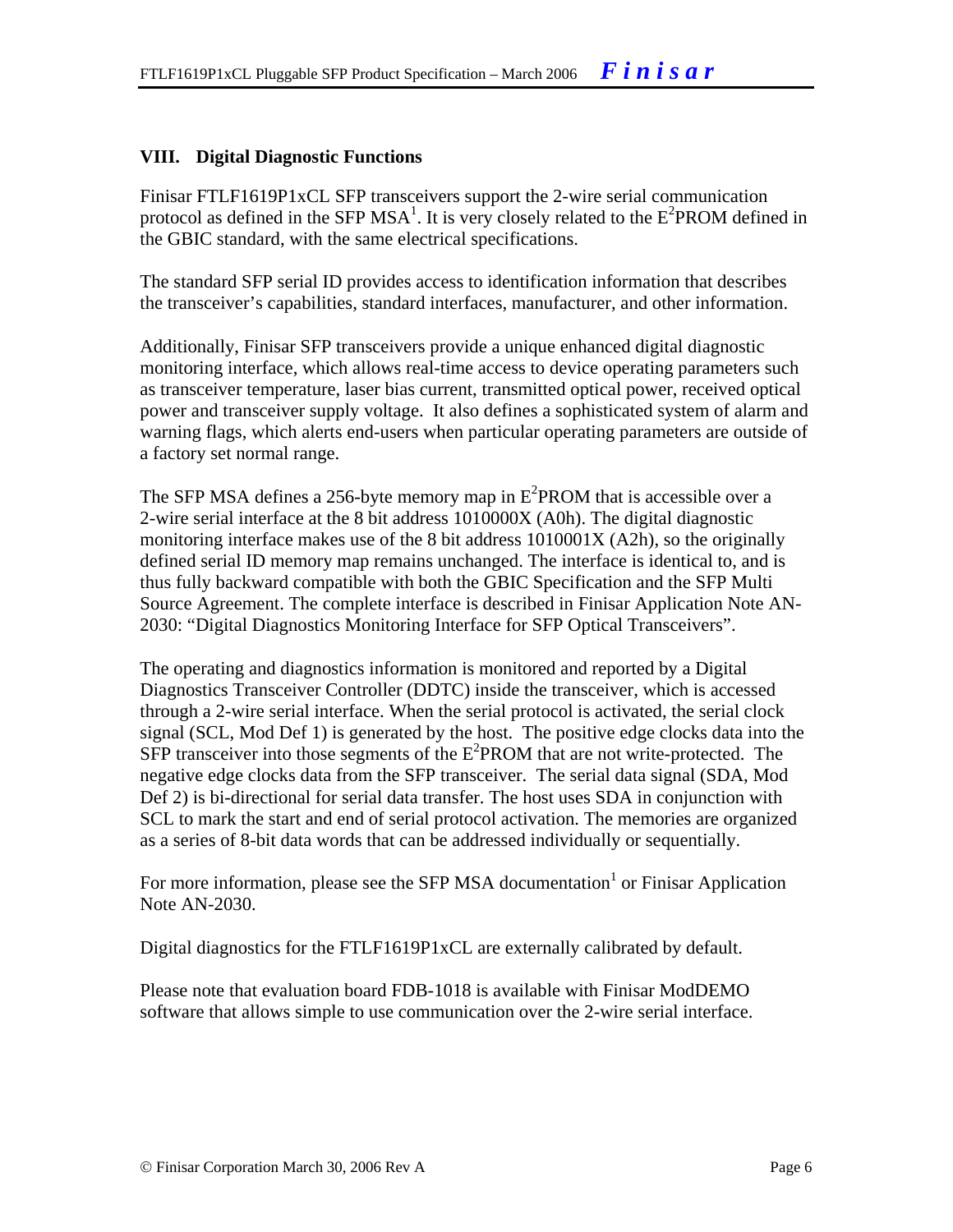#### **VIII. Digital Diagnostic Functions**

Finisar FTLF1619P1xCL SFP transceivers support the 2-wire serial communication protocol as defined in the SFP MSA<sup>1</sup>. It is very closely related to the  $E^2$ PROM defined in the GBIC standard, with the same electrical specifications.

The standard SFP serial ID provides access to identification information that describes the transceiver's capabilities, standard interfaces, manufacturer, and other information.

Additionally, Finisar SFP transceivers provide a unique enhanced digital diagnostic monitoring interface, which allows real-time access to device operating parameters such as transceiver temperature, laser bias current, transmitted optical power, received optical power and transceiver supply voltage. It also defines a sophisticated system of alarm and warning flags, which alerts end-users when particular operating parameters are outside of a factory set normal range.

The SFP MSA defines a 256-byte memory map in  $E^2$ PROM that is accessible over a 2-wire serial interface at the 8 bit address 1010000X (A0h). The digital diagnostic monitoring interface makes use of the 8 bit address 1010001X (A2h), so the originally defined serial ID memory map remains unchanged. The interface is identical to, and is thus fully backward compatible with both the GBIC Specification and the SFP Multi Source Agreement. The complete interface is described in Finisar Application Note AN-2030: "Digital Diagnostics Monitoring Interface for SFP Optical Transceivers".

The operating and diagnostics information is monitored and reported by a Digital Diagnostics Transceiver Controller (DDTC) inside the transceiver, which is accessed through a 2-wire serial interface. When the serial protocol is activated, the serial clock signal (SCL, Mod Def 1) is generated by the host. The positive edge clocks data into the  $SFP$  transceiver into those segments of the  $E^2$ PROM that are not write-protected. The negative edge clocks data from the SFP transceiver. The serial data signal (SDA, Mod Def 2) is bi-directional for serial data transfer. The host uses SDA in conjunction with SCL to mark the start and end of serial protocol activation. The memories are organized as a series of 8-bit data words that can be addressed individually or sequentially.

For more information, please see the SFP MSA documentation<sup>1</sup> or Finisar Application Note AN-2030.

Digital diagnostics for the FTLF1619P1xCL are externally calibrated by default.

Please note that evaluation board FDB-1018 is available with Finisar ModDEMO software that allows simple to use communication over the 2-wire serial interface.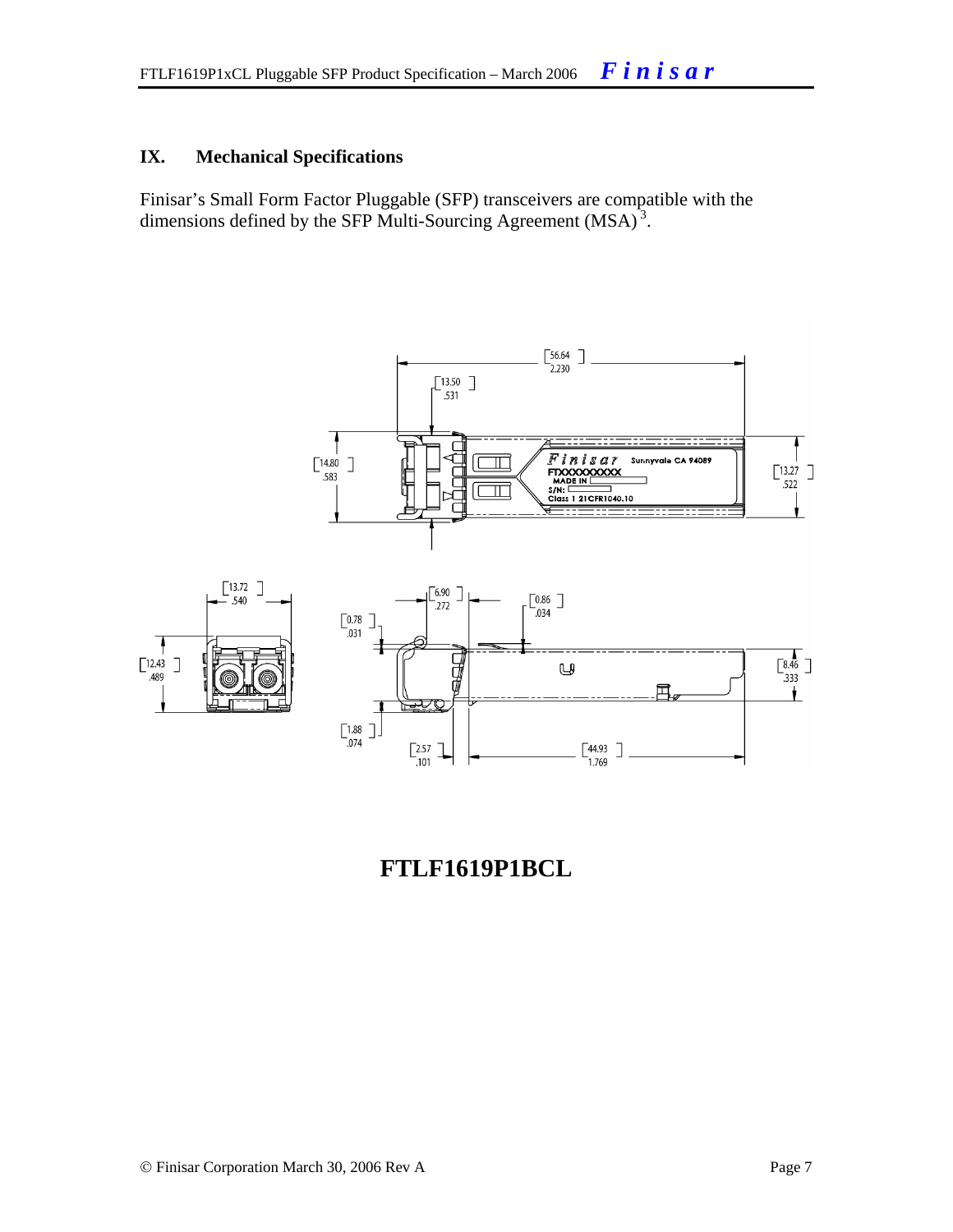#### **IX. Mechanical Specifications**

Finisar's Small Form Factor Pluggable (SFP) transceivers are compatible with the dimensions defined by the SFP Multi-Sourcing Agreement (MSA)<sup>3</sup>.



## **FTLF1619P1BCL**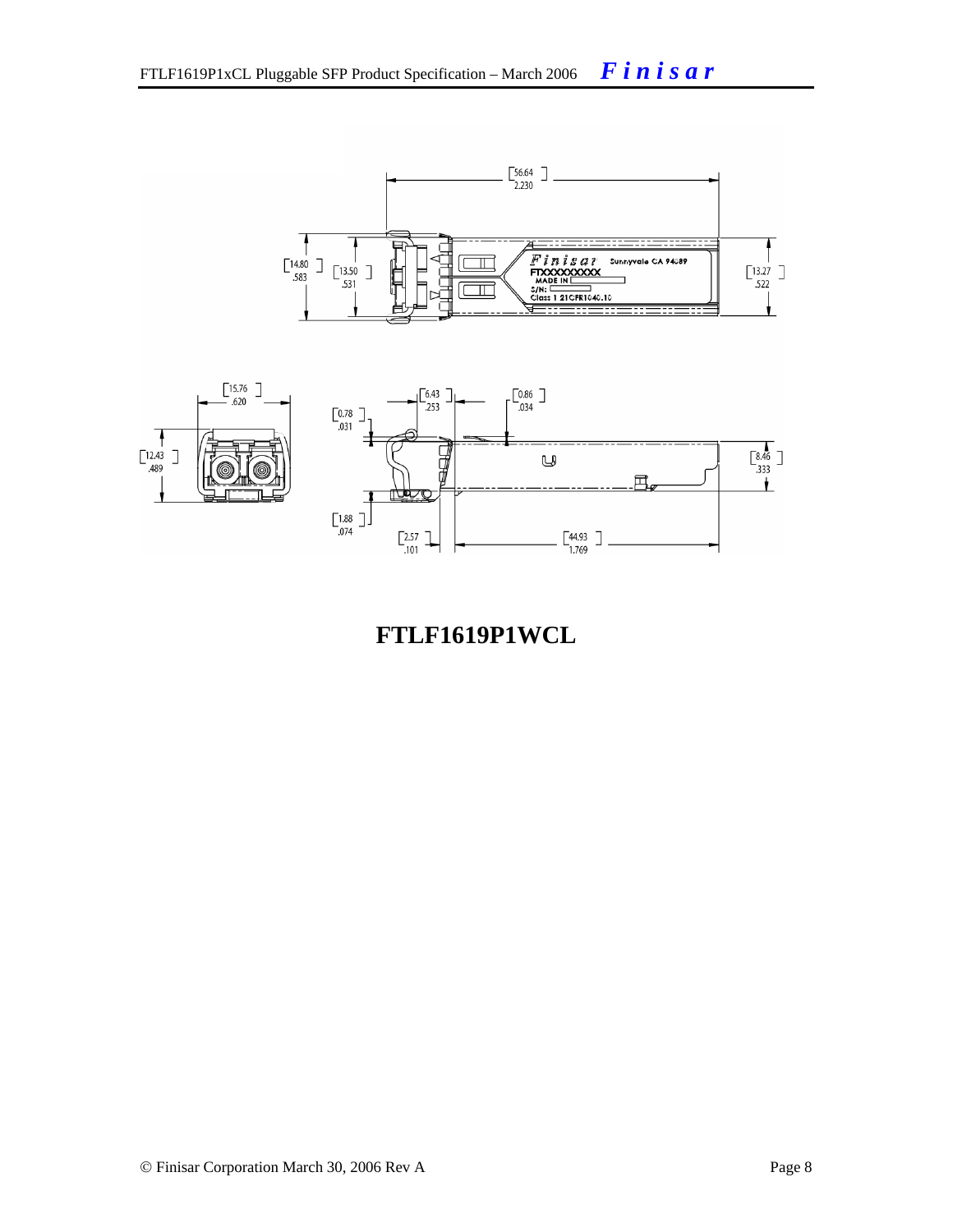



## **FTLF1619P1WCL**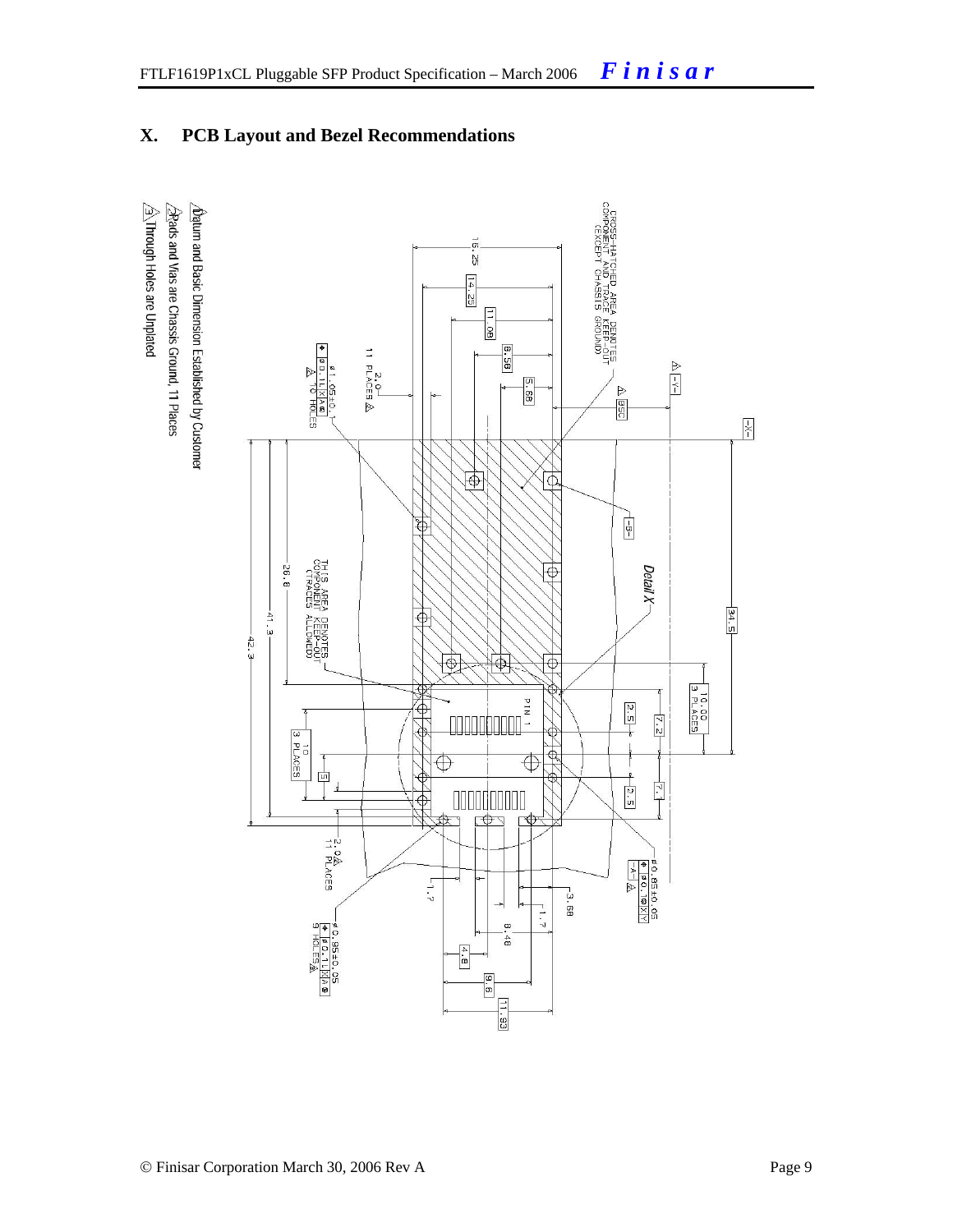#### **X. PCB Layout and Bezel Recommendations**

 $\hat{\triangle}$  Through Holes are Unplated 2Rads and Vias are Chassis Ground, 11 Places  $\Delta$ atum and Basic Dimension Established by Customer

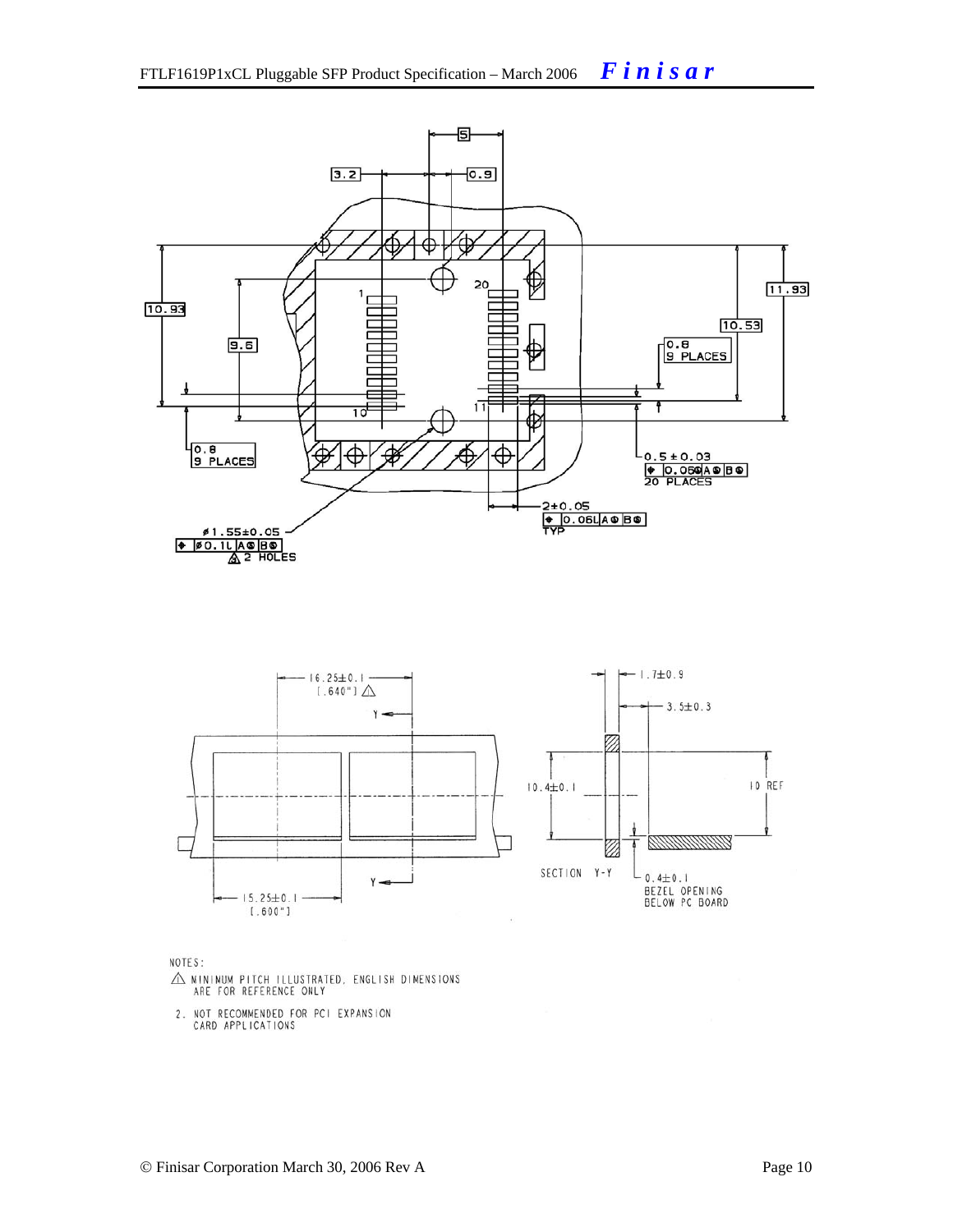



NOTES:

- $\triangle$  MINIMUM PITCH ILLUSTRATED, ENGLISH DIMENSIONS ARE FOR REFERENCE ONLY
- 2. NOT RECOMMENDED FOR PCI EXPANSION<br>CARD APPLICATIONS